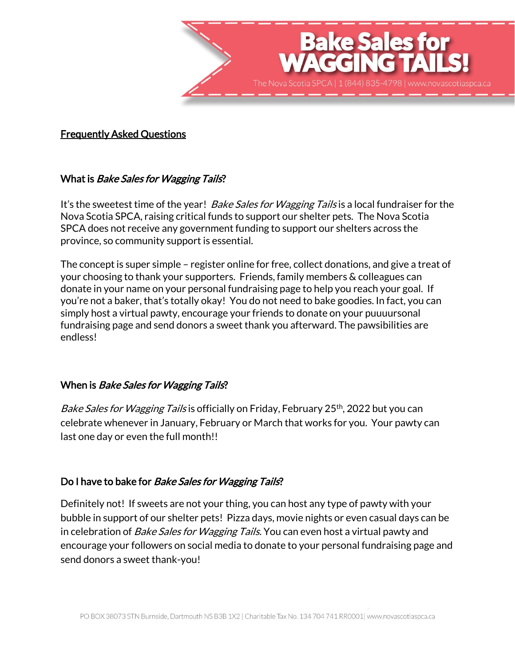

#### Frequently Asked Questions

#### What is *Bake Sales for Wagging Tails*?

It's the sweetest time of the year! *Bake Sales for Wagging Tails* is a local fundraiser for the Nova Scotia SPCA, raising critical funds to support our shelter pets. The Nova Scotia SPCA does not receive any government funding to support our shelters across the province, so community support is essential.

The concept is super simple – register online for free, collect donations, and give a treat of your choosing to thank your supporters. Friends, family members & colleagues can donate in your name on your personal fundraising page to help you reach your goal. If you're not a baker, that's totally okay! You do not need to bake goodies. In fact, you can simply host a virtual pawty, encourage your friends to donate on your puuuursonal fundraising page and send donors a sweet thank you afterward. The pawsibilities are endless!

# When is *Bake Sales for Wagging Tails*?

Bake Sales for Wagging Tails is officially on Friday, February 25<sup>th</sup>, 2022 but you can celebrate whenever in January, February or March that works for you. Your pawty can last one day or even the full month!!

#### Do I have to bake for *Bake Sales for Wagging Tails*?

Definitely not! If sweets are not your thing, you can host any type of pawty with your bubble in support of our shelter pets! Pizza days, movie nights or even casual days can be in celebration of *Bake Sales for Wagging Tails.* You can even host a virtual pawty and encourage your followers on social media to donate to your personal fundraising page and send donors a sweet thank-you!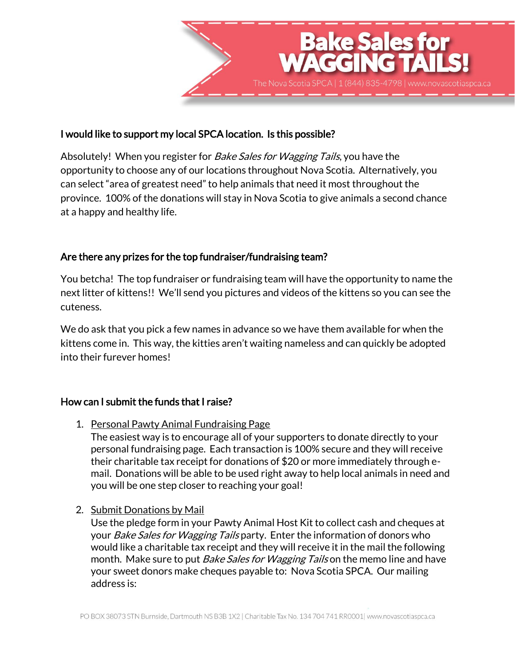

## I would like to support my local SPCA location. Is this possible?

Absolutely! When you register for *Bake Sales for Wagging Tails*, you have the opportunity to choose any of our locations throughout Nova Scotia. Alternatively, you can select "area of greatest need" to help animals that need it most throughout the province. 100% of the donations will stay in Nova Scotia to give animals a second chance at a happy and healthy life.

## Are there any prizes for the top fundraiser/fundraising team?

You betcha! The top fundraiser or fundraising team will have the opportunity to name the next litter of kittens!! We'll send you pictures and videos of the kittens so you can see the cuteness.

We do ask that you pick a few names in advance so we have them available for when the kittens come in. This way, the kitties aren't waiting nameless and can quickly be adopted into their furever homes!

#### How can I submit the funds that I raise?

1. Personal Pawty Animal Fundraising Page

The easiest way is to encourage all of your supporters to donate directly to your personal fundraising page. Each transaction is 100% secure and they will receive their charitable tax receipt for donations of \$20 or more immediately through email. Donations will be able to be used right away to help local animals in need and you will be one step closer to reaching your goal!

2. Submit Donations by Mail

Use the pledge form in your Pawty Animal Host Kit to collect cash and cheques at your *Bake Sales for Wagging Tails* party. Enter the information of donors who would like a charitable tax receipt and they will receive it in the mail the following month. Make sure to put *Bake Sales for Wagging Tails* on the memo line and have your sweet donors make cheques payable to: Nova Scotia SPCA. Our mailing address is: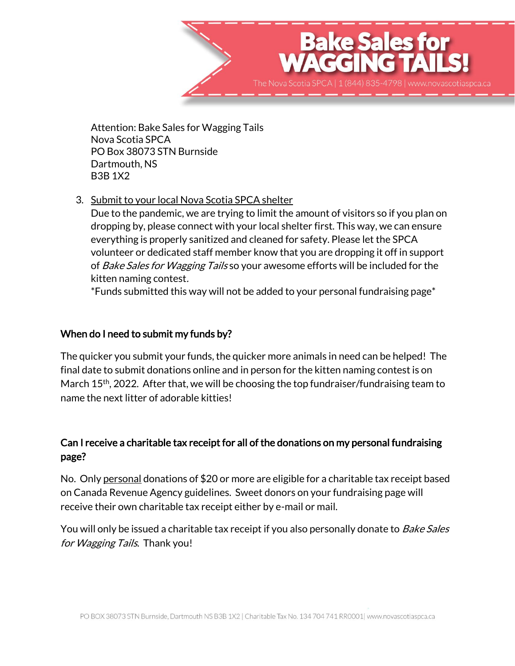

Attention: Bake Sales for Wagging Tails Nova Scotia SPCA PO Box 38073 STN Burnside Dartmouth, NS B3B 1X2

3. Submit to your local Nova Scotia SPCA shelter

Due to the pandemic, we are trying to limit the amount of visitors so if you plan on dropping by, please connect with your local shelter first. This way, we can ensure everything is properly sanitized and cleaned for safety. Please let the SPCA volunteer or dedicated staff member know that you are dropping it off in support of *Bake Sales for Wagging Tails* so your awesome efforts will be included for the kitten naming contest.

\*Funds submitted this way will not be added to your personal fundraising page\*

# When do I need to submit my funds by?

The quicker you submit your funds, the quicker more animals in need can be helped! The final date to submit donations online and in person for the kitten naming contest is on March 15<sup>th</sup>, 2022. After that, we will be choosing the top fundraiser/fundraising team to name the next litter of adorable kitties!

# Can I receive a charitable tax receipt for all of the donations on my personal fundraising page?

No. Only personal donations of \$20 or more are eligible for a charitable tax receipt based on Canada Revenue Agency guidelines. Sweet donors on your fundraising page will receive their own charitable tax receipt either by e-mail or mail.

You will only be issued a charitable tax receipt if you also personally donate to *Bake Sales* for *Wagging Tails*. Thank you!